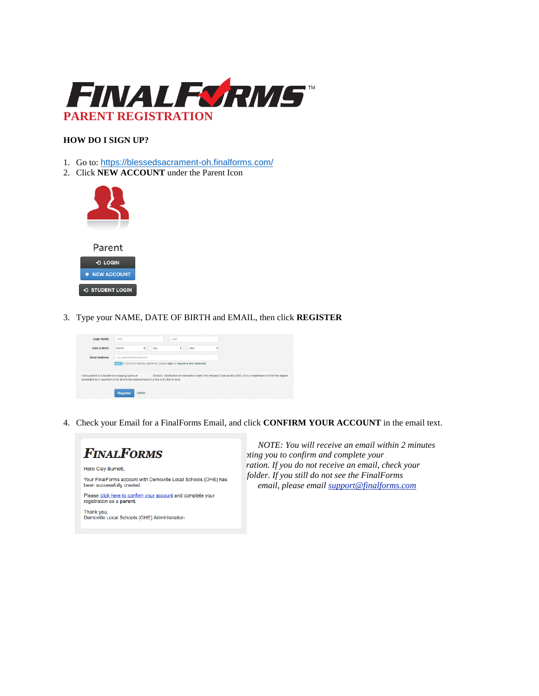

## **HOW DO I SIGN UP?**

- 1. Go to: <https://blessedsacrament-oh.finalforms.com/>
- 2. Click **NEW ACCOUNT** under the Parent Icon



3. Type your NAME, DATE OF BIRTH and EMAIL, then click **REGISTER**



4. Check your Email for a FinalForms Email, and click **CONFIRM YOUR ACCOUNT** in the email text.



 *NOTE: You will receive an email within 2 minutes prompting you to confirm and complete your*  ration. If you do not receive an email, check your  *email, please email [support@finalforms.com](mailto:support@finalforms.com)*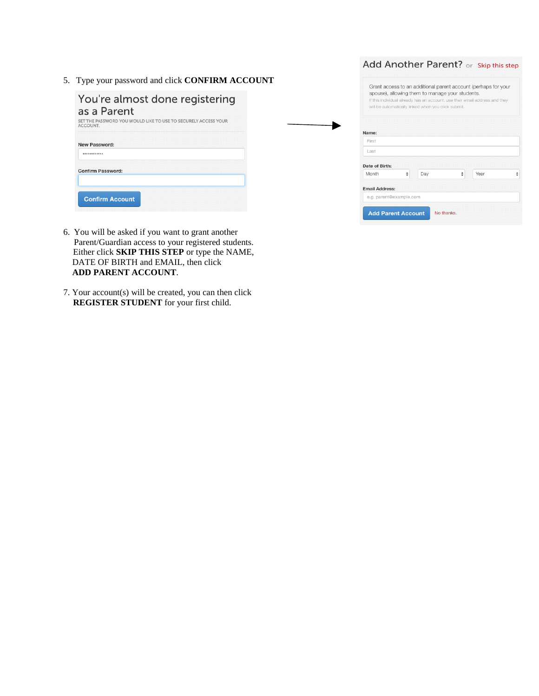5. Type your password and click **CONFIRM ACCOUNT**

| ype your password and crick CONFTRM ACCOUNT                                     | Grant access to an additional parent account (perhaps for your                                                                                                                        |  |  |  |
|---------------------------------------------------------------------------------|---------------------------------------------------------------------------------------------------------------------------------------------------------------------------------------|--|--|--|
| You're almost done registering<br>as a Parent                                   | spouse), allowing them to manage your students.<br>If this individual already has an account, use their email address and they<br>will be automatically linked when you click submit. |  |  |  |
| ET THE PASSWORD YOU WOULD LIKE TO USE TO SECURELY ACCESS YOUR<br><b>CCOUNT.</b> | Name:                                                                                                                                                                                 |  |  |  |
| <b>New Password:</b>                                                            | First                                                                                                                                                                                 |  |  |  |
|                                                                                 | Last                                                                                                                                                                                  |  |  |  |
|                                                                                 | Date of Birth:                                                                                                                                                                        |  |  |  |
| Confirm Password:                                                               | Year<br>Month<br>$\div$<br>Day<br>٠                                                                                                                                                   |  |  |  |
|                                                                                 | <b>Email Address:</b>                                                                                                                                                                 |  |  |  |
| <b>Confirm Account</b>                                                          | e.g. parent@example.com                                                                                                                                                               |  |  |  |
|                                                                                 | <b>Add Parent Account</b><br>No thanks.                                                                                                                                               |  |  |  |

Add Another Parent? or Skip this step

- 6. You will be asked if you want to grant another Parent/Guardian access to your registered students. Either click **SKIP THIS STEP** or type the NAME, DATE OF BIRTH and EMAIL, then click **ADD PARENT ACCOUNT**.
- 7. Your account(s) will be created, you can then click **REGISTER STUDENT** for your first child.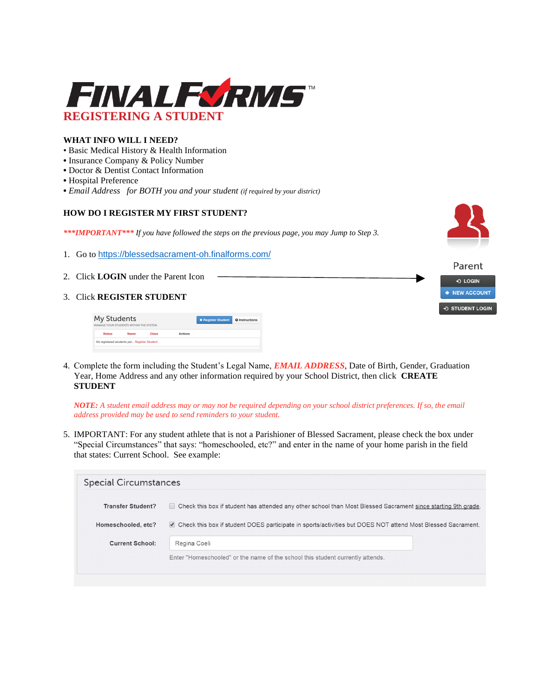

## **WHAT INFO WILL I NEED?**

- Basic Medical History & Health Information
- **•** Insurance Company & Policy Number
- **•** Doctor & Dentist Contact Information
- **•** Hospital Preference
- **•** *Email Address for BOTH you and your student (if required by your district)*

## **HOW DO I REGISTER MY FIRST STUDENT?**

*\*\*\*IMPORTANT\*\*\* If you have followed the steps on the previous page, you may Jump to Step 3.*



- 1. Go to <https://blessedsacrament-oh.finalforms.com/>
- 2. Click **LOGIN** under the Parent Icon
- 3. Click **REGISTER STUDENT**

| My Students<br>MANAGE YOUR STUDENTS WITHIN THE SYSTEM. |      |              | <b>* Register Student</b> | <b>Q</b> Instructions |  |
|--------------------------------------------------------|------|--------------|---------------------------|-----------------------|--|
| <b>Status</b>                                          | Name | <b>Class</b> | Actions                   |                       |  |
| No registered students yet Register Student            |      |              |                           |                       |  |
|                                                        |      |              |                           |                       |  |



4. Complete the form including the Student's Legal Name, *EMAIL ADDRESS*, Date of Birth, Gender, Graduation Year, Home Address and any other information required by your School District, then click **CREATE STUDENT**

*NOTE: A student email address may or may not be required depending on your school district preferences. If so, the email address provided may be used to send reminders to your student.*

5. IMPORTANT: For any student athlete that is not a Parishioner of Blessed Sacrament, please check the box under "Special Circumstances" that says: "homeschooled, etc?" and enter in the name of your home parish in the field that states: Current School. See example:

| <b>Special Circumstances</b>                   |                                                                                                                                                                                                                                |  |
|------------------------------------------------|--------------------------------------------------------------------------------------------------------------------------------------------------------------------------------------------------------------------------------|--|
| <b>Transfer Student?</b><br>Homeschooled, etc? | □ Check this box if student has attended any other school than Most Blessed Sacrament since starting 9th grade.<br>Check this box if student DOES participate in sports/activities but DOES NOT attend Most Blessed Sacrament. |  |
| <b>Current School:</b>                         | Regina Coeli<br>Enter "Homeschooled" or the name of the school this student currently attends.                                                                                                                                 |  |